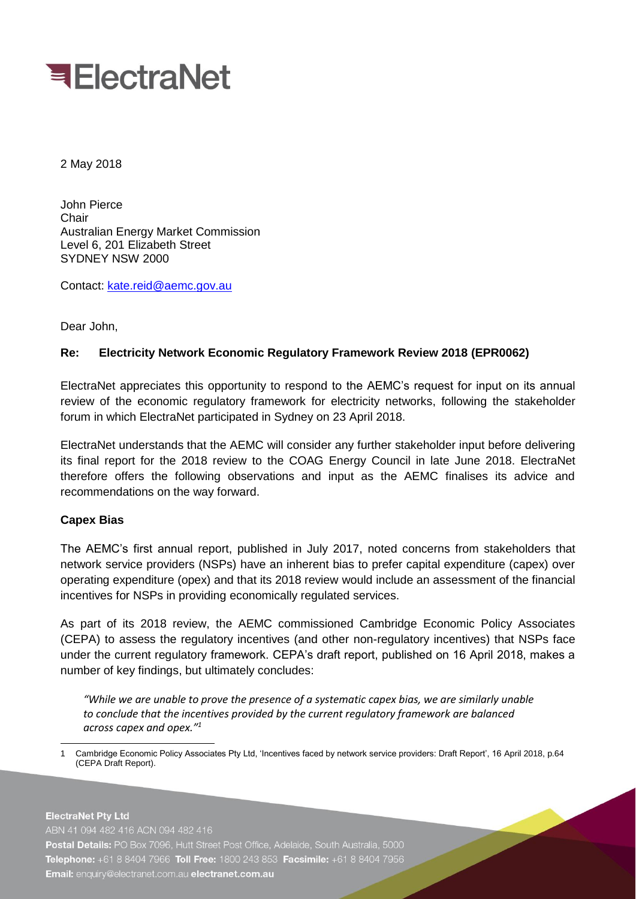

2 May 2018

John Pierce Chair Australian Energy Market Commission Level 6, 201 Elizabeth Street SYDNEY NSW 2000

Contact: [kate.reid@aemc.gov.au](mailto:kate.reid@aemc.gov.au)

Dear John,

## **Re: Electricity Network Economic Regulatory Framework Review 2018 (EPR0062)**

ElectraNet appreciates this opportunity to respond to the AEMC's request for input on its annual review of the economic regulatory framework for electricity networks, following the stakeholder forum in which ElectraNet participated in Sydney on 23 April 2018.

ElectraNet understands that the AEMC will consider any further stakeholder input before delivering its final report for the 2018 review to the COAG Energy Council in late June 2018. ElectraNet therefore offers the following observations and input as the AEMC finalises its advice and recommendations on the way forward.

## **Capex Bias**

The AEMC's first annual report, published in July 2017, noted concerns from stakeholders that network service providers (NSPs) have an inherent bias to prefer capital expenditure (capex) over operating expenditure (opex) and that its 2018 review would include an assessment of the financial incentives for NSPs in providing economically regulated services.

As part of its 2018 review, the AEMC commissioned Cambridge Economic Policy Associates (CEPA) to assess the regulatory incentives (and other non-regulatory incentives) that NSPs face under the current regulatory framework. CEPA's draft report, published on 16 April 2018, makes a number of key findings, but ultimately concludes:

*"While we are unable to prove the presence of a systematic capex bias, we are similarly unable to conclude that the incentives provided by the current regulatory framework are balanced across capex and opex." 1*

<sup>-</sup>1 Cambridge Economic Policy Associates Pty Ltd, 'Incentives faced by network service providers: Draft Report', 16 April 2018, p.64 (CEPA Draft Report).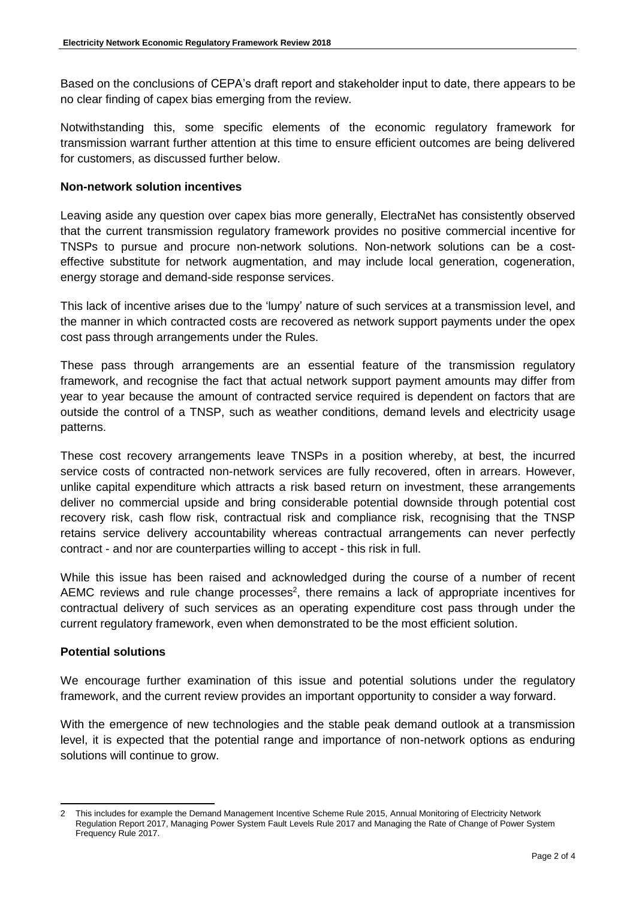Based on the conclusions of CEPA's draft report and stakeholder input to date, there appears to be no clear finding of capex bias emerging from the review.

Notwithstanding this, some specific elements of the economic regulatory framework for transmission warrant further attention at this time to ensure efficient outcomes are being delivered for customers, as discussed further below.

## **Non-network solution incentives**

Leaving aside any question over capex bias more generally, ElectraNet has consistently observed that the current transmission regulatory framework provides no positive commercial incentive for TNSPs to pursue and procure non-network solutions. Non-network solutions can be a costeffective substitute for network augmentation, and may include local generation, cogeneration, energy storage and demand-side response services.

This lack of incentive arises due to the 'lumpy' nature of such services at a transmission level, and the manner in which contracted costs are recovered as network support payments under the opex cost pass through arrangements under the Rules.

These pass through arrangements are an essential feature of the transmission regulatory framework, and recognise the fact that actual network support payment amounts may differ from year to year because the amount of contracted service required is dependent on factors that are outside the control of a TNSP, such as weather conditions, demand levels and electricity usage patterns.

These cost recovery arrangements leave TNSPs in a position whereby, at best, the incurred service costs of contracted non-network services are fully recovered, often in arrears. However, unlike capital expenditure which attracts a risk based return on investment, these arrangements deliver no commercial upside and bring considerable potential downside through potential cost recovery risk, cash flow risk, contractual risk and compliance risk, recognising that the TNSP retains service delivery accountability whereas contractual arrangements can never perfectly contract - and nor are counterparties willing to accept - this risk in full.

While this issue has been raised and acknowledged during the course of a number of recent AEMC reviews and rule change processes<sup>2</sup>, there remains a lack of appropriate incentives for contractual delivery of such services as an operating expenditure cost pass through under the current regulatory framework, even when demonstrated to be the most efficient solution.

## **Potential solutions**

We encourage further examination of this issue and potential solutions under the regulatory framework, and the current review provides an important opportunity to consider a way forward.

With the emergence of new technologies and the stable peak demand outlook at a transmission level, it is expected that the potential range and importance of non-network options as enduring solutions will continue to grow.

<sup>-</sup>2 This includes for example the Demand Management Incentive Scheme Rule 2015, Annual Monitoring of Electricity Network Regulation Report 2017, Managing Power System Fault Levels Rule 2017 and Managing the Rate of Change of Power System Frequency Rule 2017.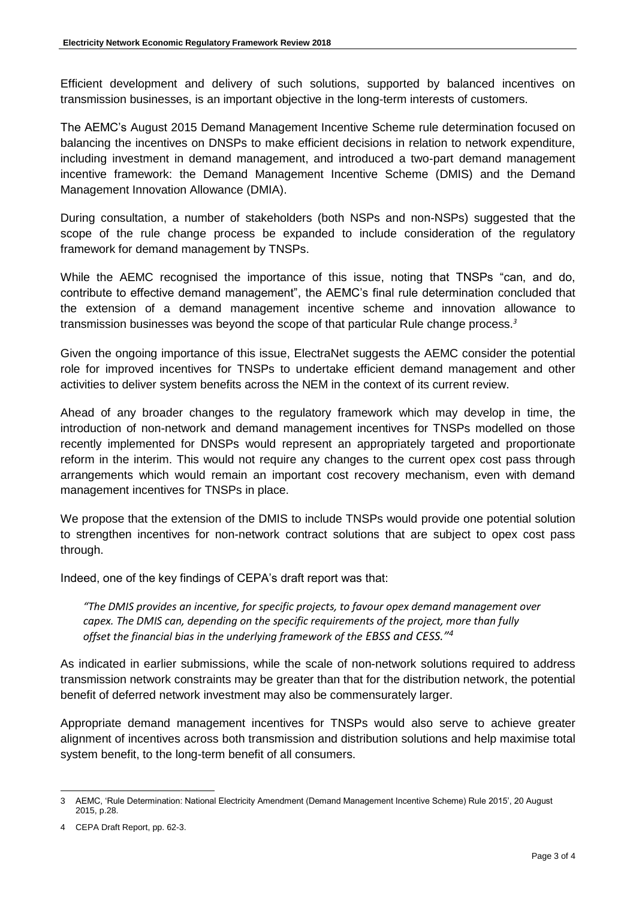Efficient development and delivery of such solutions, supported by balanced incentives on transmission businesses, is an important objective in the long-term interests of customers.

The AEMC's August 2015 Demand Management Incentive Scheme rule determination focused on balancing the incentives on DNSPs to make efficient decisions in relation to network expenditure, including investment in demand management, and introduced a two-part demand management incentive framework: the Demand Management Incentive Scheme (DMIS) and the Demand Management Innovation Allowance (DMIA).

During consultation, a number of stakeholders (both NSPs and non-NSPs) suggested that the scope of the rule change process be expanded to include consideration of the regulatory framework for demand management by TNSPs.

While the AEMC recognised the importance of this issue, noting that TNSPs "can, and do, contribute to effective demand management", the AEMC's final rule determination concluded that the extension of a demand management incentive scheme and innovation allowance to transmission businesses was beyond the scope of that particular Rule change process.*<sup>3</sup>*

Given the ongoing importance of this issue, ElectraNet suggests the AEMC consider the potential role for improved incentives for TNSPs to undertake efficient demand management and other activities to deliver system benefits across the NEM in the context of its current review.

Ahead of any broader changes to the regulatory framework which may develop in time, the introduction of non-network and demand management incentives for TNSPs modelled on those recently implemented for DNSPs would represent an appropriately targeted and proportionate reform in the interim. This would not require any changes to the current opex cost pass through arrangements which would remain an important cost recovery mechanism, even with demand management incentives for TNSPs in place.

We propose that the extension of the DMIS to include TNSPs would provide one potential solution to strengthen incentives for non-network contract solutions that are subject to opex cost pass through.

Indeed, one of the key findings of CEPA's draft report was that:

*"The DMIS provides an incentive, for specific projects, to favour opex demand management over capex. The DMIS can, depending on the specific requirements of the project, more than fully offset the financial bias in the underlying framework of the EBSS and CESS."<sup>4</sup>*

As indicated in earlier submissions, while the scale of non-network solutions required to address transmission network constraints may be greater than that for the distribution network, the potential benefit of deferred network investment may also be commensurately larger.

Appropriate demand management incentives for TNSPs would also serve to achieve greater alignment of incentives across both transmission and distribution solutions and help maximise total system benefit, to the long-term benefit of all consumers.

<sup>-</sup>3 AEMC, 'Rule Determination: National Electricity Amendment (Demand Management Incentive Scheme) Rule 2015', 20 August 2015, p.28.

<sup>4</sup> CEPA Draft Report, pp. 62-3.